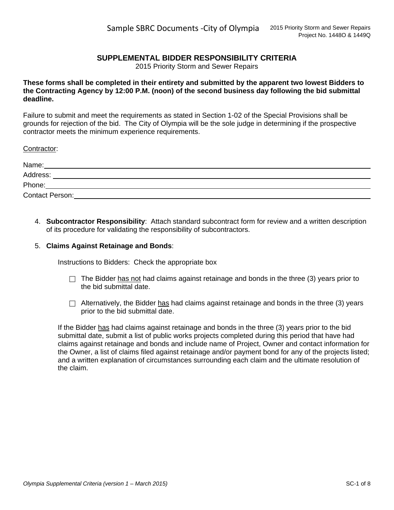# **SUPPLEMENTAL BIDDER RESPONSIBILITY CRITERIA**

2015 Priority Storm and Sewer Repairs

## **These forms shall be completed in their entirety and submitted by the apparent two lowest Bidders to the Contracting Agency by 12:00 P.M. (noon) of the second business day following the bid submittal deadline.**

Failure to submit and meet the requirements as stated in Section 1-02 of the Special Provisions shall be grounds for rejection of the bid. The City of Olympia will be the sole judge in determining if the prospective contractor meets the minimum experience requirements.

Contractor:

| Name:                  |  |
|------------------------|--|
| Address:               |  |
| Phone:                 |  |
| <b>Contact Person:</b> |  |

4. **Subcontractor Responsibility**: Attach standard subcontract form for review and a written description of its procedure for validating the responsibility of subcontractors.

# 5. **Claims Against Retainage and Bonds**:

Instructions to Bidders: Check the appropriate box

- $\Box$  The Bidder has not had claims against retainage and bonds in the three (3) years prior to the bid submittal date.
- $\Box$  Alternatively, the Bidder has had claims against retainage and bonds in the three (3) years prior to the bid submittal date.

If the Bidder has had claims against retainage and bonds in the three (3) years prior to the bid submittal date, submit a list of public works projects completed during this period that have had claims against retainage and bonds and include name of Project, Owner and contact information for the Owner, a list of claims filed against retainage and/or payment bond for any of the projects listed; and a written explanation of circumstances surrounding each claim and the ultimate resolution of the claim.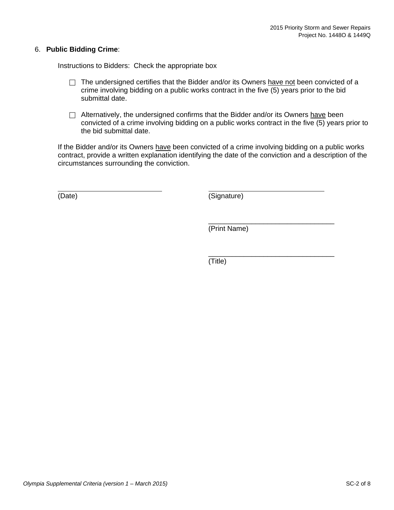## 6. **Public Bidding Crime**:

Instructions to Bidders: Check the appropriate box

- $\Box$  The undersigned certifies that the Bidder and/or its Owners have not been convicted of a crime involving bidding on a public works contract in the five (5) years prior to the bid submittal date.
- $\Box$  Alternatively, the undersigned confirms that the Bidder and/or its Owners have been convicted of a crime involving bidding on a public works contract in the five (5) years prior to the bid submittal date.

If the Bidder and/or its Owners have been convicted of a crime involving bidding on a public works contract, provide a written explanation identifying the date of the conviction and a description of the circumstances surrounding the conviction.

 $\overline{a}$ 

(Date) (Signature)

\_\_\_\_\_\_\_\_\_\_\_\_\_\_\_\_\_\_\_\_\_\_\_\_\_\_\_\_\_\_\_\_ (Print Name)

\_\_\_\_\_\_\_\_\_\_\_\_\_\_\_\_\_\_\_\_\_\_\_\_\_\_\_\_\_\_\_\_

(Title)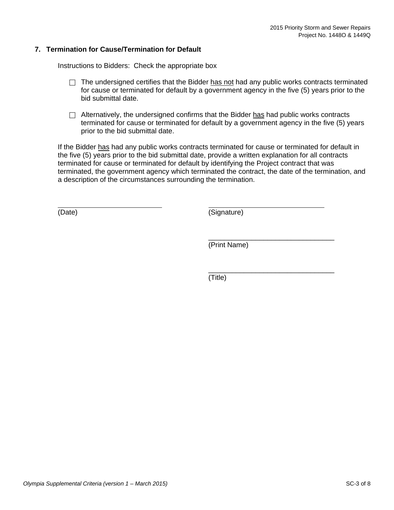# **7. Termination for Cause/Termination for Default**

Instructions to Bidders: Check the appropriate box

- $\Box$  The undersigned certifies that the Bidder has not had any public works contracts terminated for cause or terminated for default by a government agency in the five (5) years prior to the bid submittal date.
- $\Box$  Alternatively, the undersigned confirms that the Bidder has had public works contracts terminated for cause or terminated for default by a government agency in the five (5) years prior to the bid submittal date.

If the Bidder has had any public works contracts terminated for cause or terminated for default in the five (5) years prior to the bid submittal date, provide a written explanation for all contracts terminated for cause or terminated for default by identifying the Project contract that was terminated, the government agency which terminated the contract, the date of the termination, and a description of the circumstances surrounding the termination.

 $\overline{a}$ 

(Date) (Signature)

\_\_\_\_\_\_\_\_\_\_\_\_\_\_\_\_\_\_\_\_\_\_\_\_\_\_\_\_\_\_\_\_ (Print Name)

\_\_\_\_\_\_\_\_\_\_\_\_\_\_\_\_\_\_\_\_\_\_\_\_\_\_\_\_\_\_\_\_

(Title)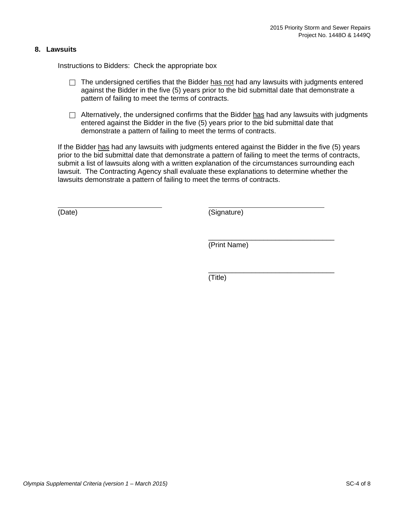# **8. Lawsuits**

Instructions to Bidders: Check the appropriate box

- $\Box$  The undersigned certifies that the Bidder has not had any lawsuits with judgments entered against the Bidder in the five (5) years prior to the bid submittal date that demonstrate a pattern of failing to meet the terms of contracts.
- $\Box$  Alternatively, the undersigned confirms that the Bidder has had any lawsuits with judgments entered against the Bidder in the five (5) years prior to the bid submittal date that demonstrate a pattern of failing to meet the terms of contracts.

If the Bidder has had any lawsuits with judgments entered against the Bidder in the five (5) years prior to the bid submittal date that demonstrate a pattern of failing to meet the terms of contracts, submit a list of lawsuits along with a written explanation of the circumstances surrounding each lawsuit. The Contracting Agency shall evaluate these explanations to determine whether the lawsuits demonstrate a pattern of failing to meet the terms of contracts.

 $\overline{a}$ 

(Date) (Signature)

\_\_\_\_\_\_\_\_\_\_\_\_\_\_\_\_\_\_\_\_\_\_\_\_\_\_\_\_\_\_\_\_ (Print Name)

\_\_\_\_\_\_\_\_\_\_\_\_\_\_\_\_\_\_\_\_\_\_\_\_\_\_\_\_\_\_\_\_

(Title)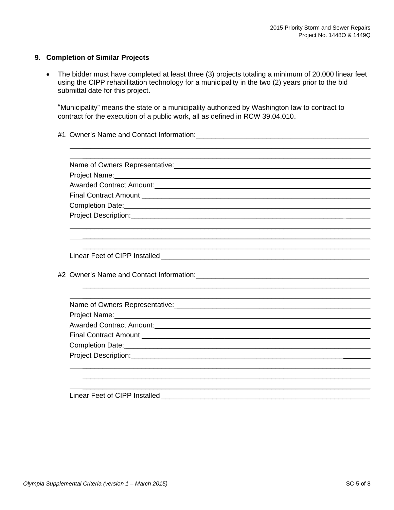# **9. Completion of Similar Projects**

• The bidder must have completed at least three (3) projects totaling a minimum of 20,000 linear feet using the CIPP rehabilitation technology for a municipality in the two (2) years prior to the bid submittal date for this project.

"Municipality" means the state or a municipality authorized by Washington law to contract to contract for the execution of a public work, all as defined in RCW 39.04.010.

\_\_\_\_\_\_\_\_\_\_\_\_\_\_\_\_\_\_\_\_\_\_\_\_\_\_\_\_\_\_\_\_\_\_\_\_\_\_\_\_\_\_\_\_\_\_\_\_\_\_\_\_\_\_\_\_\_\_\_\_\_\_\_\_\_\_\_\_\_\_\_\_\_

#1 Owner's Name and Contact Information:\_\_\_\_\_\_\_\_\_\_\_\_\_\_\_\_\_\_\_\_\_\_\_\_\_\_\_\_\_\_\_\_\_\_\_\_\_\_\_\_\_\_\_\_

| Awarded Contract Amount:<br>Awarded Contract Amount:                                                           |
|----------------------------------------------------------------------------------------------------------------|
|                                                                                                                |
|                                                                                                                |
|                                                                                                                |
|                                                                                                                |
|                                                                                                                |
|                                                                                                                |
|                                                                                                                |
|                                                                                                                |
|                                                                                                                |
|                                                                                                                |
| Name of Owners Representative: Manual Assembly Dennis Assembly Dennis Assembly Dennis Assembly Dennis Assembly |
|                                                                                                                |
|                                                                                                                |
|                                                                                                                |
|                                                                                                                |
|                                                                                                                |
|                                                                                                                |
|                                                                                                                |
|                                                                                                                |

Linear Feet of CIPP Installed \_\_\_\_\_\_\_\_\_\_\_\_\_\_\_\_\_\_\_\_\_\_\_\_\_\_\_\_\_\_\_\_\_\_\_\_\_\_\_\_\_\_\_\_\_\_\_\_\_\_\_\_\_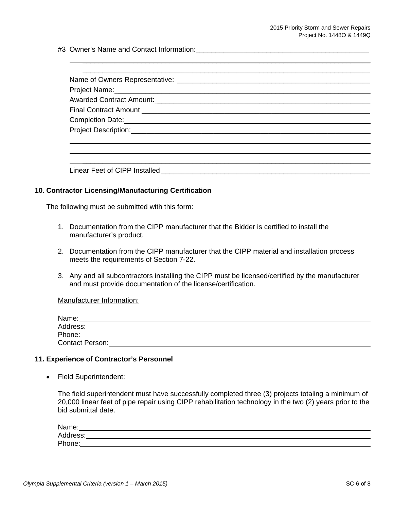#3 Owner's Name and Contact Information:

| Name of Owners Representative: _________________ |  |
|--------------------------------------------------|--|
|                                                  |  |
|                                                  |  |
|                                                  |  |
|                                                  |  |
|                                                  |  |
|                                                  |  |
|                                                  |  |
|                                                  |  |

\_\_\_\_\_\_\_\_\_\_\_\_\_\_\_\_\_\_\_\_\_\_\_\_\_\_\_\_\_\_\_\_\_\_\_\_\_\_\_\_\_\_\_\_\_\_\_\_\_\_\_\_\_\_\_\_\_\_\_\_\_\_\_\_\_\_\_\_\_\_\_\_\_

Linear Feet of CIPP Installed **EXAMPLE 2008** 

#### **10. Contractor Licensing/Manufacturing Certification**

The following must be submitted with this form:

- 1. Documentation from the CIPP manufacturer that the Bidder is certified to install the manufacturer's product.
- 2. Documentation from the CIPP manufacturer that the CIPP material and installation process meets the requirements of Section 7-22.
- 3. Any and all subcontractors installing the CIPP must be licensed/certified by the manufacturer and must provide documentation of the license/certification.

Manufacturer Information:

| Name:           |  |  |
|-----------------|--|--|
| Address:        |  |  |
| Phone:          |  |  |
| Contact Person: |  |  |

# **11. Experience of Contractor's Personnel**

Field Superintendent:

The field superintendent must have successfully completed three (3) projects totaling a minimum of 20,000 linear feet of pipe repair using CIPP rehabilitation technology in the two (2) years prior to the bid submittal date.

| Name:    |  |
|----------|--|
| Address: |  |
| Phone:   |  |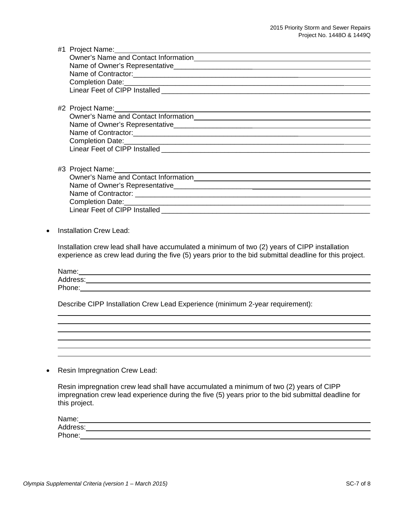| #2 Project Name: Manual Accounts and Accounts and Accounts and Accounts and Accounts and Accounts and Accounts and Accounts and Accounts and Accounts and Accounts and Accounts and Accounts and Accounts and Accounts and Acc |
|--------------------------------------------------------------------------------------------------------------------------------------------------------------------------------------------------------------------------------|
|                                                                                                                                                                                                                                |
|                                                                                                                                                                                                                                |
|                                                                                                                                                                                                                                |
| Completion Date: <u>completion</u> Date:                                                                                                                                                                                       |
|                                                                                                                                                                                                                                |
|                                                                                                                                                                                                                                |
|                                                                                                                                                                                                                                |
| #3 Project Name:<br>Owner's Name and Contact Information<br>Content of Name and Contact Information                                                                                                                            |
|                                                                                                                                                                                                                                |
|                                                                                                                                                                                                                                |
|                                                                                                                                                                                                                                |
|                                                                                                                                                                                                                                |
|                                                                                                                                                                                                                                |
|                                                                                                                                                                                                                                |

• Installation Crew Lead:

Installation crew lead shall have accumulated a minimum of two (2) years of CIPP installation experience as crew lead during the five (5) years prior to the bid submittal deadline for this project.

Name: Address: Phone:

Describe CIPP Installation Crew Lead Experience (minimum 2-year requirement):

• Resin Impregnation Crew Lead:

Resin impregnation crew lead shall have accumulated a minimum of two (2) years of CIPP impregnation crew lead experience during the five (5) years prior to the bid submittal deadline for this project.

| Name:    |  |
|----------|--|
| Address: |  |
| Phone:   |  |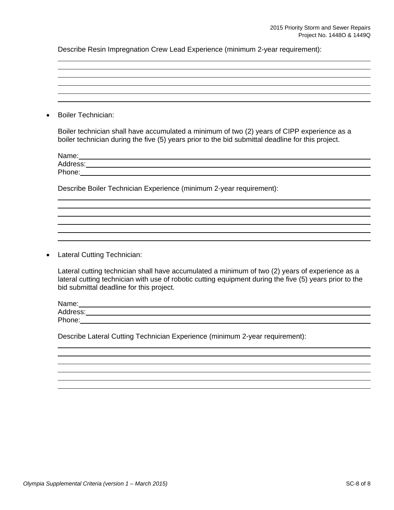Describe Resin Impregnation Crew Lead Experience (minimum 2-year requirement):

| Boiler Technician:                                                                                                                                                                               |  |
|--------------------------------------------------------------------------------------------------------------------------------------------------------------------------------------------------|--|
| Boiler technician shall have accumulated a minimum of two (2) years of CIPP experience as a<br>boiler technician during the five (5) years prior to the bid submittal deadline for this project. |  |
|                                                                                                                                                                                                  |  |
|                                                                                                                                                                                                  |  |
|                                                                                                                                                                                                  |  |
| Describe Boiler Technician Experience (minimum 2-year requirement):                                                                                                                              |  |
|                                                                                                                                                                                                  |  |
|                                                                                                                                                                                                  |  |
|                                                                                                                                                                                                  |  |

Lateral Cutting Technician:

Lateral cutting technician shall have accumulated a minimum of two (2) years of experience as a lateral cutting technician with use of robotic cutting equipment during the five (5) years prior to the bid submittal deadline for this project.

Name: Address: Phone: The contract of the contract of the contract of the contract of the contract of the contract of the contract of the contract of the contract of the contract of the contract of the contract of the contract of the con

Describe Lateral Cutting Technician Experience (minimum 2-year requirement):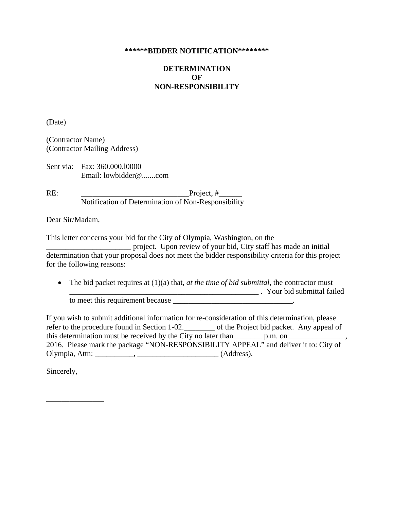#### **\*\*\*\*\*\*BIDDER NOTIFICATION\*\*\*\*\*\*\*\***

# **DETERMINATION OF NON-RESPONSIBILITY**

(Date)

(Contractor Name) (Contractor Mailing Address)

Sent via: Fax: 360.000.l0000 Email: lowbidder@.......com

RE: Project, # Notification of Determination of Non-Responsibility

Dear Sir/Madam,

This letter concerns your bid for the City of Olympia, Washington, on the

project. Upon review of your bid, City staff has made an initial determination that your proposal does not meet the bidder responsibility criteria for this project for the following reasons:

• The bid packet requires at (1)(a) that, *at the time of bid submittal*, the contractor must \_\_\_\_\_\_\_\_\_\_\_\_\_\_\_\_\_\_\_\_\_\_\_\_\_\_\_\_\_\_\_\_\_\_\_\_\_\_\_\_\_\_\_\_\_\_\_\_\_ . Your bid submittal failed to meet this requirement because \_\_\_\_\_\_\_\_\_\_\_\_\_\_\_\_\_\_\_\_\_\_\_\_\_\_\_\_\_\_\_.

If you wish to submit additional information for re-consideration of this determination, please refer to the procedure found in Section 1-02.\_\_\_\_\_\_\_\_ of the Project bid packet. Any appeal of this determination must be received by the City no later than  $\_\_p$  p.m. on  $\_\_$ 2016. Please mark the package "NON-RESPONSIBILITY APPEAL" and deliver it to: City of Olympia, Attn: \_\_\_\_\_\_\_\_\_\_, \_\_\_\_\_\_\_\_\_\_\_\_\_\_\_\_\_\_\_\_\_ (Address).

Sincerely,

\_\_\_\_\_\_\_\_\_\_\_\_\_\_\_